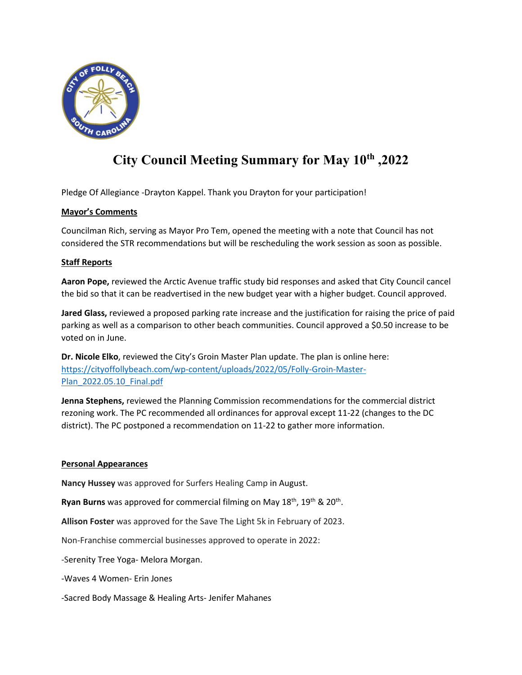

# **City Council Meeting Summary for May 10th ,2022**

Pledge Of Allegiance -Drayton Kappel. Thank you Drayton for your participation!

## **Mayor's Comments**

Councilman Rich, serving as Mayor Pro Tem, opened the meeting with a note that Council has not considered the STR recommendations but will be rescheduling the work session as soon as possible.

# **Staff Reports**

**Aaron Pope,** reviewed the Arctic Avenue traffic study bid responses and asked that City Council cancel the bid so that it can be readvertised in the new budget year with a higher budget. Council approved.

**Jared Glass,** reviewed a proposed parking rate increase and the justification for raising the price of paid parking as well as a comparison to other beach communities. Council approved a \$0.50 increase to be voted on in June.

**Dr. Nicole Elko**, reviewed the City's Groin Master Plan update. The plan is online here: [https://cityoffollybeach.com/wp-content/uploads/2022/05/Folly-Groin-Master-](https://cityoffollybeach.com/wp-content/uploads/2022/05/Folly-Groin-Master-Plan_2022.05.10_Final.pdf)[Plan\\_2022.05.10\\_Final.pdf](https://cityoffollybeach.com/wp-content/uploads/2022/05/Folly-Groin-Master-Plan_2022.05.10_Final.pdf)

**Jenna Stephens,** reviewed the Planning Commission recommendations for the commercial district rezoning work. The PC recommended all ordinances for approval except 11-22 (changes to the DC district). The PC postponed a recommendation on 11-22 to gather more information.

## **Personal Appearances**

**Nancy Hussey** was approved for Surfers Healing Camp in August.

Ryan Burns was approved for commercial filming on May 18<sup>th</sup>, 19<sup>th</sup> & 20<sup>th</sup>.

**Allison Foster** was approved for the Save The Light 5k in February of 2023.

Non-Franchise commercial businesses approved to operate in 2022:

-Serenity Tree Yoga- Melora Morgan.

-Waves 4 Women- Erin Jones

-Sacred Body Massage & Healing Arts- Jenifer Mahanes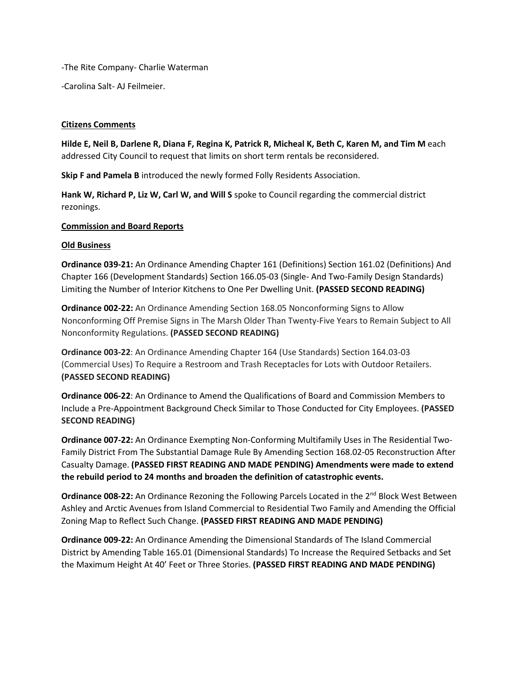-The Rite Company- Charlie Waterman

-Carolina Salt- AJ Feilmeier.

#### **Citizens Comments**

**Hilde E, Neil B, Darlene R, Diana F, Regina K, Patrick R, Micheal K, Beth C, Karen M, and Tim M** each addressed City Council to request that limits on short term rentals be reconsidered.

**Skip F and Pamela B** introduced the newly formed Folly Residents Association.

**Hank W, Richard P, Liz W, Carl W, and Will S** spoke to Council regarding the commercial district rezonings.

#### **Commission and Board Reports**

#### **Old Business**

**Ordinance 039-21:** An Ordinance Amending Chapter 161 (Definitions) Section 161.02 (Definitions) And Chapter 166 (Development Standards) Section 166.05-03 (Single- And Two-Family Design Standards) Limiting the Number of Interior Kitchens to One Per Dwelling Unit. **(PASSED SECOND READING)**

**Ordinance 002-22:** An Ordinance Amending Section 168.05 Nonconforming Signs to Allow Nonconforming Off Premise Signs in The Marsh Older Than Twenty-Five Years to Remain Subject to All Nonconformity Regulations. **(PASSED SECOND READING)**

**Ordinance 003-22**: An Ordinance Amending Chapter 164 (Use Standards) Section 164.03-03 (Commercial Uses) To Require a Restroom and Trash Receptacles for Lots with Outdoor Retailers. **(PASSED SECOND READING)** 

**Ordinance 006-22**: An Ordinance to Amend the Qualifications of Board and Commission Members to Include a Pre-Appointment Background Check Similar to Those Conducted for City Employees. **(PASSED SECOND READING)**

**Ordinance 007-22:** An Ordinance Exempting Non-Conforming Multifamily Uses in The Residential Two-Family District From The Substantial Damage Rule By Amending Section 168.02-05 Reconstruction After Casualty Damage. **(PASSED FIRST READING AND MADE PENDING) Amendments were made to extend the rebuild period to 24 months and broaden the definition of catastrophic events.** 

**Ordinance 008-22:** An Ordinance Rezoning the Following Parcels Located in the 2<sup>nd</sup> Block West Between Ashley and Arctic Avenues from Island Commercial to Residential Two Family and Amending the Official Zoning Map to Reflect Such Change. **(PASSED FIRST READING AND MADE PENDING)**

**Ordinance 009-22:** An Ordinance Amending the Dimensional Standards of The Island Commercial District by Amending Table 165.01 (Dimensional Standards) To Increase the Required Setbacks and Set the Maximum Height At 40' Feet or Three Stories. **(PASSED FIRST READING AND MADE PENDING)**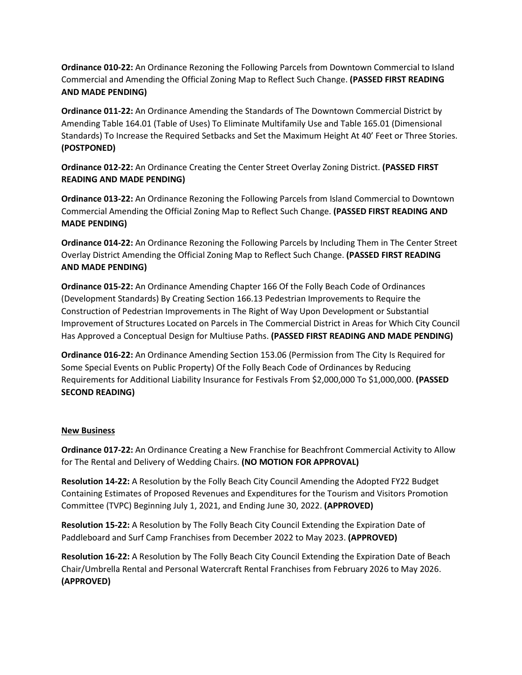**Ordinance 010-22:** An Ordinance Rezoning the Following Parcels from Downtown Commercial to Island Commercial and Amending the Official Zoning Map to Reflect Such Change. **(PASSED FIRST READING AND MADE PENDING)**

**Ordinance 011-22:** An Ordinance Amending the Standards of The Downtown Commercial District by Amending Table 164.01 (Table of Uses) To Eliminate Multifamily Use and Table 165.01 (Dimensional Standards) To Increase the Required Setbacks and Set the Maximum Height At 40' Feet or Three Stories. **(POSTPONED)** 

**Ordinance 012-22:** An Ordinance Creating the Center Street Overlay Zoning District. **(PASSED FIRST READING AND MADE PENDING)**

**Ordinance 013-22:** An Ordinance Rezoning the Following Parcels from Island Commercial to Downtown Commercial Amending the Official Zoning Map to Reflect Such Change. **(PASSED FIRST READING AND MADE PENDING)**

**Ordinance 014-22:** An Ordinance Rezoning the Following Parcels by Including Them in The Center Street Overlay District Amending the Official Zoning Map to Reflect Such Change. **(PASSED FIRST READING AND MADE PENDING)**

**Ordinance 015-22:** An Ordinance Amending Chapter 166 Of the Folly Beach Code of Ordinances (Development Standards) By Creating Section 166.13 Pedestrian Improvements to Require the Construction of Pedestrian Improvements in The Right of Way Upon Development or Substantial Improvement of Structures Located on Parcels in The Commercial District in Areas for Which City Council Has Approved a Conceptual Design for Multiuse Paths. **(PASSED FIRST READING AND MADE PENDING)**

**Ordinance 016-22:** An Ordinance Amending Section 153.06 (Permission from The City Is Required for Some Special Events on Public Property) Of the Folly Beach Code of Ordinances by Reducing Requirements for Additional Liability Insurance for Festivals From \$2,000,000 To \$1,000,000. **(PASSED SECOND READING)**

## **New Business**

**Ordinance 017-22:** An Ordinance Creating a New Franchise for Beachfront Commercial Activity to Allow for The Rental and Delivery of Wedding Chairs. **(NO MOTION FOR APPROVAL)**

**Resolution 14-22:** A Resolution by the Folly Beach City Council Amending the Adopted FY22 Budget Containing Estimates of Proposed Revenues and Expenditures for the Tourism and Visitors Promotion Committee (TVPC) Beginning July 1, 2021, and Ending June 30, 2022. **(APPROVED)** 

**Resolution 15-22:** A Resolution by The Folly Beach City Council Extending the Expiration Date of Paddleboard and Surf Camp Franchises from December 2022 to May 2023. **(APPROVED)** 

**Resolution 16-22:** A Resolution by The Folly Beach City Council Extending the Expiration Date of Beach Chair/Umbrella Rental and Personal Watercraft Rental Franchises from February 2026 to May 2026. **(APPROVED)**